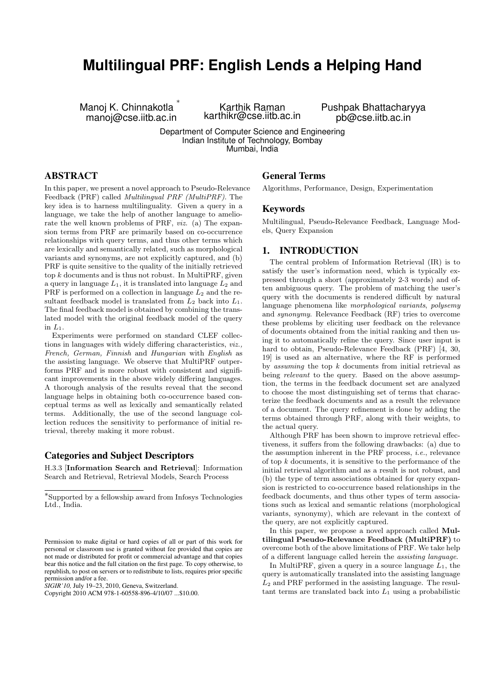# **Multilingual PRF: English Lends a Helping Hand**

Manoj K. Chinnakotla ∗ manoj@cse.iitb.ac.in

Karthik Raman karthikr@cse.iitb.ac.in Pushpak Bhattacharyya pb@cse.iitb.ac.in

Department of Computer Science and Engineering Indian Institute of Technology, Bombay Mumbai, India

## ABSTRACT

In this paper, we present a novel approach to Pseudo-Relevance Feedback (PRF) called Multilingual PRF (MultiPRF). The key idea is to harness multilinguality. Given a query in a language, we take the help of another language to ameliorate the well known problems of PRF, viz. (a) The expansion terms from PRF are primarily based on co-occurrence relationships with query terms, and thus other terms which are lexically and semantically related, such as morphological variants and synonyms, are not explicitly captured, and (b) PRF is quite sensitive to the quality of the initially retrieved top  $k$  documents and is thus not robust. In MultiPRF, given a query in language  $L_1$ , it is translated into language  $L_2$  and PRF is performed on a collection in language  $L_2$  and the resultant feedback model is translated from  $L_2$  back into  $L_1$ . The final feedback model is obtained by combining the translated model with the original feedback model of the query in  $L_1$ .

Experiments were performed on standard CLEF collections in languages with widely differing characteristics, viz., French, German, Finnish and Hungarian with English as the assisting language. We observe that MultiPRF outperforms PRF and is more robust with consistent and significant improvements in the above widely differing languages. A thorough analysis of the results reveal that the second language helps in obtaining both co-occurrence based conceptual terms as well as lexically and semantically related terms. Additionally, the use of the second language collection reduces the sensitivity to performance of initial retrieval, thereby making it more robust.

### Categories and Subject Descriptors

H.3.3 [Information Search and Retrieval]: Information Search and Retrieval, Retrieval Models, Search Process

*SIGIR'10,* July 19–23, 2010, Geneva, Switzerland.

### General Terms

Algorithms, Performance, Design, Experimentation

### Keywords

Multilingual, Pseudo-Relevance Feedback, Language Models, Query Expansion

### 1. INTRODUCTION

The central problem of Information Retrieval (IR) is to satisfy the user's information need, which is typically expressed through a short (approximately 2-3 words) and often ambiguous query. The problem of matching the user's query with the documents is rendered difficult by natural language phenomena like morphological variants, polysemy and synonymy. Relevance Feedback (RF) tries to overcome these problems by eliciting user feedback on the relevance of documents obtained from the initial ranking and then using it to automatically refine the query. Since user input is hard to obtain, Pseudo-Relevance Feedback (PRF) [4, 30, 19] is used as an alternative, where the RF is performed by *assuming* the top  $k$  documents from initial retrieval as being *relevant* to the query. Based on the above assumption, the terms in the feedback document set are analyzed to choose the most distinguishing set of terms that characterize the feedback documents and as a result the relevance of a document. The query refinement is done by adding the terms obtained through PRF, along with their weights, to the actual query.

Although PRF has been shown to improve retrieval effectiveness, it suffers from the following drawbacks: (a) due to the assumption inherent in the PRF process, *i.e.*, relevance of top  $k$  documents, it is sensitive to the performance of the initial retrieval algorithm and as a result is not robust, and (b) the type of term associations obtained for query expansion is restricted to co-occurrence based relationships in the feedback documents, and thus other types of term associations such as lexical and semantic relations (morphological variants, synonymy), which are relevant in the context of the query, are not explicitly captured.

In this paper, we propose a novel approach called Multilingual Pseudo-Relevance Feedback (MultiPRF) to overcome both of the above limitations of PRF. We take help of a different language called herein the assisting language.

In MultiPRF, given a query in a source language  $L_1$ , the query is automatically translated into the assisting language  $L_2$  and PRF performed in the assisting language. The resultant terms are translated back into  $L_1$  using a probabilistic

<sup>∗</sup> Supported by a fellowship award from Infosys Technologies Ltd., India.

Permission to make digital or hard copies of all or part of this work for personal or classroom use is granted without fee provided that copies are not made or distributed for profit or commercial advantage and that copies bear this notice and the full citation on the first page. To copy otherwise, to republish, to post on servers or to redistribute to lists, requires prior specific permission and/or a fee.

Copyright 2010 ACM 978-1-60558-896-4/10/07 ...\$10.00.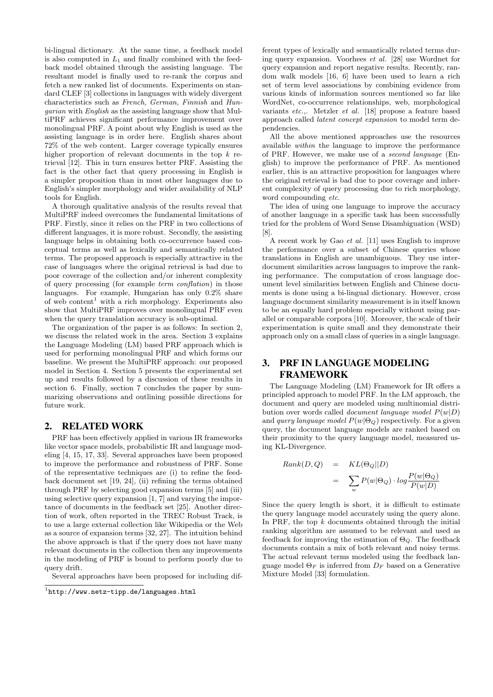bi-lingual dictionary. At the same time, a feedback model is also computed in  $L_1$  and finally combined with the feedback model obtained through the assisting language. The resultant model is finally used to re-rank the corpus and fetch a new ranked list of documents. Experiments on standard CLEF [3] collections in languages with widely divergent characteristics such as French, German, Finnish and Hungarian with English as the assisting language show that MultiPRF achieves significant performance improvement over monolingual PRF. A point about why English is used as the assisting language is in order here. English shares about 72% of the web content. Larger coverage typically ensures higher proportion of relevant documents in the top  $k$  retrieval [12]. This in turn ensures better PRF. Assisting the fact is the other fact that query processing in English is a simpler proposition than in most other languages due to English's simpler morphology and wider availability of NLP tools for English.

A thorough qualitative analysis of the results reveal that MultiPRF indeed overcomes the fundamental limitations of PRF. Firstly, since it relies on the PRF in two collections of different languages, it is more robust. Secondly, the assisting language helps in obtaining both co-occurrence based conceptual terms as well as lexically and semantically related terms. The proposed approach is especially attractive in the case of languages where the original retrieval is bad due to poor coverage of the collection and/or inherent complexity of query processing (for example term conflation) in those languages. For example, Hungarian has only 0.2% share of web content<sup>1</sup> with a rich morphology. Experiments also show that MultiPRF improves over monolingual PRF even when the query translation accuracy is sub-optimal.

The organization of the paper is as follows: In section 2, we discuss the related work in the area. Section 3 explains the Language Modeling (LM) based PRF approach which is used for performing monolingual PRF and which forms our baseline. We present the MultiPRF approach: our proposed model in Section 4. Section 5 presents the experimental set up and results followed by a discussion of these results in section 6. Finally, section 7 concludes the paper by summarizing observations and outlining possible directions for future work.

### 2. RELATED WORK

PRF has been effectively applied in various IR frameworks like vector space models, probabilistic IR and language modeling [4, 15, 17, 33]. Several approaches have been proposed to improve the performance and robustness of PRF. Some of the representative techniques are (i) to refine the feedback document set [19, 24], (ii) refining the terms obtained through PRF by selecting good expansion terms [5] and (iii) using selective query expansion [1, 7] and varying the importance of documents in the feedback set [25]. Another direction of work, often reported in the TREC Robust Track, is to use a large external collection like Wikipedia or the Web as a source of expansion terms [32, 27]. The intuition behind the above approach is that if the query does not have many relevant documents in the collection then any improvements in the modeling of PRF is bound to perform poorly due to query drift.

Several approaches have been proposed for including dif-

ferent types of lexically and semantically related terms during query expansion. Voorhees et al. [28] use Wordnet for query expansion and report negative results. Recently, random walk models [16, 6] have been used to learn a rich set of term level associations by combining evidence from various kinds of information sources mentioned so far like WordNet, co-occurrence relationships, web, morphological variants etc.,. Metzler et al. [18] propose a feature based approach called latent concept expansion to model term dependencies.

All the above mentioned approaches use the resources available within the language to improve the performance of PRF. However, we make use of a second language (English) to improve the performance of PRF. As mentioned earlier, this is an attractive proposition for languages where the original retrieval is bad due to poor coverage and inherent complexity of query processing due to rich morphology, word compounding etc.

The idea of using one language to improve the accuracy of another language in a specific task has been successfully tried for the problem of Word Sense Disambiguation (WSD) [8].

A recent work by Gao et al. [11] uses English to improve the performance over a subset of Chinese queries whose translations in English are unambiguous. They use interdocument similarities across languages to improve the ranking performance. The computation of cross language document level similarities between English and Chinese documents is done using a bi-lingual dictionary. However, cross language document similarity measurement is in itself known to be an equally hard problem especially without using parallel or comparable corpora [10]. Moreover, the scale of their experimentation is quite small and they demonstrate their approach only on a small class of queries in a single language.

# 3. PRF IN LANGUAGE MODELING FRAMEWORK

The Language Modeling (LM) Framework for IR offers a principled approach to model PRF. In the LM approach, the document and query are modeled using multinomial distribution over words called *document language model*  $P(w|D)$ and query language model  $P(w|\Theta_{Q})$  respectively. For a given query, the document language models are ranked based on their proximity to the query language model, measured using KL-Divergence.

$$
Rank(D,Q) = KL(\Theta_Q||D)
$$
  
= 
$$
\sum_w P(w|\Theta_Q) \cdot log \frac{P(w|\Theta_Q)}{P(w|D)}
$$

Since the query length is short, it is difficult to estimate the query language model accurately using the query alone. In PRF, the top  $k$  documents obtained through the initial ranking algorithm are assumed to be relevant and used as feedback for improving the estimation of  $\Theta_{\mathcal{Q}}$ . The feedback documents contain a mix of both relevant and noisy terms. The actual relevant terms modeled using the feedback language model  $\Theta_F$  is inferred from  $D_F$  based on a Generative Mixture Model [33] formulation.

<sup>1</sup> http://www.netz-tipp.de/languages.html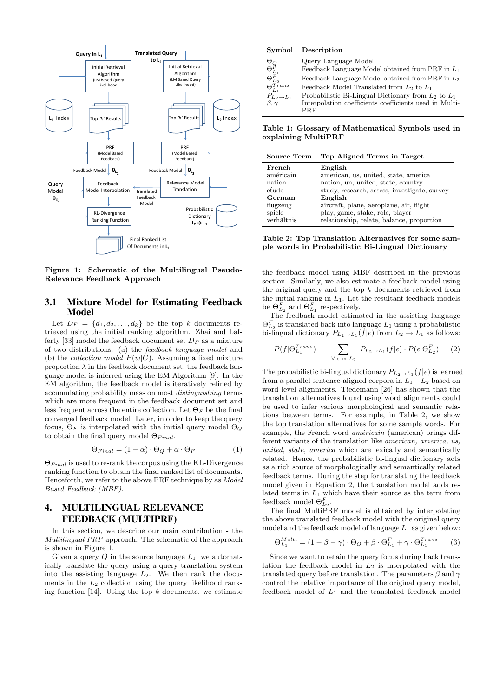

Figure 1: Schematic of the Multilingual Pseudo-Relevance Feedback Approach

# 3.1 Mixture Model for Estimating Feedback Model

Let  $D_F = \{d_1, d_2, \ldots, d_k\}$  be the top k documents retrieved using the initial ranking algorithm. Zhai and Lafferty [33] model the feedback document set  $D_F$  as a mixture of two distributions: (a) the feedback language model and (b) the *collection model*  $P(w|C)$ *.* Assuming a fixed mixture proportion  $\lambda$  in the feedback document set, the feedback language model is inferred using the EM Algorithm [9]. In the EM algorithm, the feedback model is iteratively refined by accumulating probability mass on most distinguishing terms which are more frequent in the feedback document set and less frequent across the entire collection. Let  $\Theta_F$  be the final converged feedback model. Later, in order to keep the query focus,  $\Theta_F$  is interpolated with the initial query model  $\Theta_Q$ to obtain the final query model  $\Theta_{Final}$ .

$$
\Theta_{Final} = (1 - \alpha) \cdot \Theta_Q + \alpha \cdot \Theta_F \tag{1}
$$

 $\Theta_{Final}$  is used to re-rank the corpus using the KL-Divergence ranking function to obtain the final ranked list of documents. Henceforth, we refer to the above PRF technique by as Model Based Feedback (MBF).

# 4. MULTILINGUAL RELEVANCE FEEDBACK (MULTIPRF)

In this section, we describe our main contribution - the Multilingual PRF approach. The schematic of the approach is shown in Figure 1.

Given a query  $Q$  in the source language  $L_1$ , we automatically translate the query using a query translation system into the assisting language  $L_2$ . We then rank the documents in the  $L_2$  collection using the query likelihood ranking function [14]. Using the top  $k$  documents, we estimate

| Symbol                                             | Description                                                                                                                     |
|----------------------------------------------------|---------------------------------------------------------------------------------------------------------------------------------|
| $\Theta_{L_1}^Q\\ \Theta_{L_1}^F\\ \Theta_{L_2}^F$ | Query Language Model<br>Feedback Language Model obtained from PRF in $L_1$                                                      |
| $\Theta_{L_1}^{\tilde{T}_{rans}}$                  | Feedback Language Model obtained from PRF in $L_2$<br>Feedback Model Translated from $L_2$ to $L_1$                             |
| $P_{L_2 \rightarrow L_1}$<br>$\beta, \bar{\gamma}$ | Probabilistic Bi-Lingual Dictionary from $L_2$ to $L_1$<br>Interpolation coefficients coefficients used in Multi-<br><b>PRF</b> |

Table 1: Glossary of Mathematical Symbols used in explaining MultiPRF

| Source Term | Top Aligned Terms in Target                  |
|-------------|----------------------------------------------|
| French      | English                                      |
| américain   | american, us, united, state, america         |
| nation      | nation, un, united, state, country           |
| etude       | study, research, assess, investigate, survey |
| German      | English                                      |
| flugzeug    | aircraft, plane, aeroplane, air, flight      |
| spiele      | play, game, stake, role, player              |
| verhältnis  | relationship, relate, balance, proportion    |

Table 2: Top Translation Alternatives for some sample words in Probabilistic Bi-Lingual Dictionary

the feedback model using MBF described in the previous section. Similarly, we also estimate a feedback model using the original query and the top  $k$  documents retrieved from the initial ranking in  $L_1$ . Let the resultant feedback models be  $\Theta_{L_2}^F$  and  $\Theta_{L_1}^F$  respectively.

The feedback model estimated in the assisting language  $\Theta_{L_2}^F$  is translated back into language  $L_1$  using a probabilistic bi-lingual dictionary  $P_{L_2 \to L_1}(f|e)$  from  $L_2 \to L_1$  as follows:

$$
P(f|\Theta_{L_1}^{Trans}) = \sum_{\forall e \text{ in } L_2} P_{L_2 \to L_1}(f|e) \cdot P(e|\Theta_{L_2}^F) \tag{2}
$$

The probabilistic bi-lingual dictionary  $P_{L_2 \to L_1}(f|e)$  is learned from a parallel sentence-aligned corpora in  $L_1 - L_2$  based on word level alignments. Tiedemann [26] has shown that the translation alternatives found using word alignments could be used to infer various morphological and semantic relations between terms. For example, in Table 2, we show the top translation alternatives for some sample words. For example, the French word  $américain$  (american) brings different variants of the translation like *american*, *america*, *us*, united, state, america which are lexically and semantically related. Hence, the probabilistic bi-lingual dictionary acts as a rich source of morphologically and semantically related feedback terms. During the step for translating the feedback model given in Equation 2, the translation model adds related terms in  $L_1$  which have their source as the term from feedback model  $\Theta_{L_2}^F$ .

The final MultiPRF model is obtained by interpolating the above translated feedback model with the original query model and the feedback model of language  $L_1$  as given below:

$$
\Theta_{L_1}^{Multi} = (1 - \beta - \gamma) \cdot \Theta_Q + \beta \cdot \Theta_{L_1}^F + \gamma \cdot \Theta_{L_1}^{Trans} \qquad (3)
$$

Since we want to retain the query focus during back translation the feedback model in  $L_2$  is interpolated with the translated query before translation. The parameters  $\beta$  and  $\gamma$ control the relative importance of the original query model, feedback model of  $L_1$  and the translated feedback model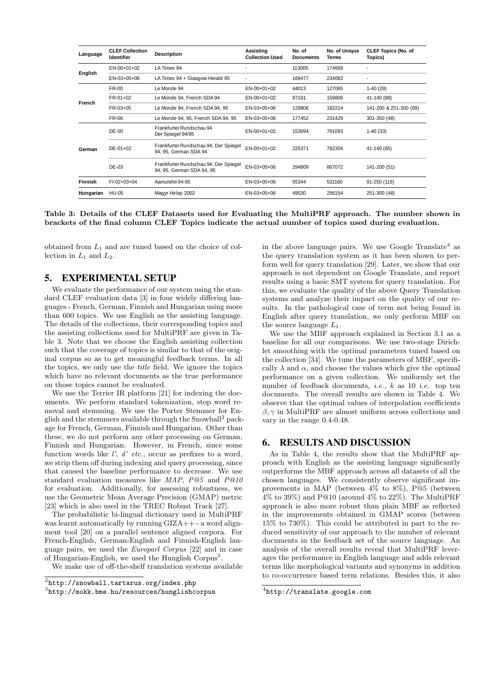| Language       | <b>CLEF Collection</b><br><b>Identifier</b>                                     | <b>Description</b>                                                 | Assisting<br><b>Collection Used</b> | No. of<br><b>Documents</b> | No. of Unique<br>Terms | <b>CLEF Topics (No. of</b><br>Topics) |
|----------------|---------------------------------------------------------------------------------|--------------------------------------------------------------------|-------------------------------------|----------------------------|------------------------|---------------------------------------|
|                | $EN-00+01+02$                                                                   | LA Times 94                                                        | $\overline{\phantom{0}}$            | 113005                     | 174669                 |                                       |
| English        | $EN-03+05+06$                                                                   | LA Times 94 + Glasgow Herald 95                                    | $\overline{a}$                      | 169477                     | 234083                 |                                       |
|                | FR-00                                                                           | Le Monde 94                                                        | $EN-00+01+02$                       | 44013                      | 127065                 | $1-40(29)$                            |
|                | $FR - 01 + 02$                                                                  | Le Monde 94, French SDA 94                                         | EN-00+01+02                         | 87191                      | 159809                 | 41-140 (88)                           |
| French         | FR-03+05                                                                        | Le Monde 94, French SDA 94, 95                                     | $EN-03+05+06$                       | 129806                     | 182214                 | 141-200 & 251-300 (99)                |
|                | <b>FR-06</b><br>DE-00<br>$DE-01+02$<br>$DE-03$<br>$FI-02+03+04$<br><b>HU-05</b> | Le Monde 94, 95, French SDA 94, 95                                 | EN-03+05+06                         | 177452                     | 231429                 | 301-350 (48)                          |
|                |                                                                                 | Frankfurter Rundschau 94<br>Der Spiegel 94/95                      | EN-00+01+02                         | 153694                     | 791093                 | $1-40(33)$                            |
| German         |                                                                                 | Frankfurter Rundschau 94, Der Spiegel<br>94, 95, German SDA 94     | EN-00+01+02                         | 225371                     | 782304                 | 41-140 (85)                           |
|                |                                                                                 | Frankfurter Rundschau 94, Der Spiegel<br>94, 95, German SDA 94, 95 | EN-03+05+06                         | 294809                     | 867072                 | 141-200 (51)                          |
| <b>Finnish</b> |                                                                                 | Aamulehti 94-95                                                    | $EN-03+05+06$                       | 55344                      | 531160                 | 91-250 (119)                          |
| Hungarian      |                                                                                 | Magyr Hirlap 2002                                                  | EN-03+05+06                         | 49530                      | 256154                 | 251-300 (48)                          |
|                |                                                                                 |                                                                    |                                     |                            |                        |                                       |

Table 3: Details of the CLEF Datasets used for Evaluating the MultiPRF approach. The number shown in brackets of the final column CLEF Topics indicate the actual number of topics used during evaluation.

obtained from  $L_1$  and are tuned based on the choice of collection in  $L_1$  and  $L_2$ .

# 5. EXPERIMENTAL SETUP

We evaluate the performance of our system using the standard CLEF evaluation data [3] in four widely differing languages - French, German, Finnish and Hungarian using more than 600 topics. We use English as the assisting language. The details of the collections, their corresponding topics and the assisting collections used for MultiPRF are given in Table 3. Note that we choose the English assisting collection such that the coverage of topics is similar to that of the original corpus so as to get meaningful feedback terms. In all the topics, we only use the title field. We ignore the topics which have no relevant documents as the true performance on those topics cannot be evaluated.

We use the Terrier IR platform [21] for indexing the documents. We perform standard tokenization, stop word removal and stemming. We use the Porter Stemmer for English and the stemmers available through the Snowball<sup>2</sup> package for French, German, Finnish and Hungarian. Other than these, we do not perform any other processing on German, Finnish and Hungarian. However, in French, since some function words like  $l'$ ,  $d'$  etc., occur as prefixes to a word, we strip them off during indexing and query processing, since that caused the baseline performance to decrease. We use standard evaluation measures like MAP, P@5 and P@10 for evaluation. Additionally, for assessing robustness, we use the Geometric Mean Average Precision (GMAP) metric [23] which is also used in the TREC Robust Track [27].

The probabilistic bi-lingual dictionary used in MultiPRF was learnt automatically by running GIZA++ - a word alignment tool [20] on a parallel sentence aligned corpora. For French-English, German-English and Finnish-English language pairs, we used the Europarl Corpus [22] and in case of Hungarian-English, we used the Hunglish Corpus<sup>3</sup>.

We make use of off-the-shelf translation systems available

in the above language pairs. We use Google Translate<sup>4</sup> as the query translation system as it has been shown to perform well for query translation [29]. Later, we show that our approach is not dependent on Google Translate, and report results using a basic SMT system for query translation. For this, we evaluate the quality of the above Query Translation systems and analyze their impact on the quality of our results. In the pathological case of term not being found in English after query translation, we only perform MBF on the source language  $L_1$ .

We use the MBF approach explained in Section 3.1 as a baseline for all our comparisons. We use two-stage Dirichlet smoothing with the optimal parameters tuned based on the collection [34]. We tune the parameters of MBF, specifically  $\lambda$  and  $\alpha$ , and choose the values which give the optimal performance on a given collection. We uniformly set the number of feedback documents, *i.e.*,  $k$  as 10 *i.e.* top ten documents. The overall results are shown in Table 4. We observe that the optimal values of interpolation coefficients  $\beta$ ,  $\gamma$  in MultiPRF are almost uniform across collections and vary in the range 0.4-0.48.

### 6. RESULTS AND DISCUSSION

As in Table 4, the results show that the MultiPRF approach with English as the assisting language significantly outperforms the MBF approach across all datasets of all the chosen languages. We consistently observe significant improvements in MAP (between 4% to 8%), P@5 (between  $4\%$  to  $39\%$ ) and P@10 (around  $4\%$  to  $22\%$ ). The MultiPRF approach is also more robust than plain MBF as reflected in the improvements obtained in GMAP scores (between 15% to 730%). This could be attributed in part to the reduced sensitivity of our approach to the number of relevant documents in the feedback set of the source language. An analysis of the overall results reveal that MultiPRF leverages the performance in English language and adds relevant terms like morphological variants and synonyms in addition to co-occurrence based term relations. Besides this, it also

 $^{2}$ http://snowball.tartarus.org/index.php

 $^3$ http://mokk.bme.hu/resources/hunglishcorpus

<sup>4</sup> http://translate.google.com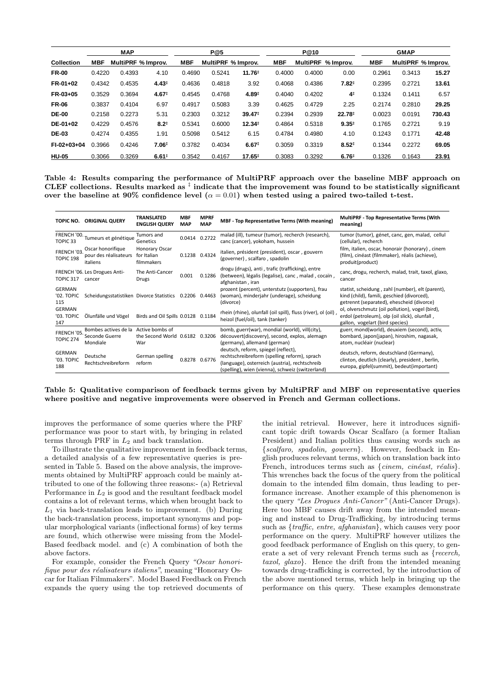|                   | <b>MAP</b> |                    |                   |            | P@5    |                    |            | P@10   |                    |            | <b>GMAP</b> |                    |  |  |
|-------------------|------------|--------------------|-------------------|------------|--------|--------------------|------------|--------|--------------------|------------|-------------|--------------------|--|--|
| <b>Collection</b> | <b>MBF</b> | MultiPRF % Improv. |                   | <b>MBF</b> |        | MultiPRF % Improv. | <b>MBF</b> |        | MultiPRF % Improv. | <b>MBF</b> |             | MultiPRF % Improv. |  |  |
| <b>FR-00</b>      | 0.4220     | 0.4393             | 4.10              | 0.4690     | 0.5241 | 11.76‡             | 0.4000     | 0.4000 | 0.00               | 0.2961     | 0.3413      | 15.27              |  |  |
| FR-01+02          | 0.4342     | 0.4535             | 4.43 <sup>‡</sup> | 0.4636     | 0.4818 | 3.92               | 0.4068     | 0.4386 | $7.82 +$           | 0.2395     | 0.2721      | 13.61              |  |  |
| FR-03+05          | 0.3529     | 0.3694             | 4.67‡             | 0.4545     | 0.4768 | 4.89#              | 0.4040     | 0.4202 | 4‡                 | 0.1324     | 0.1411      | 6.57               |  |  |
| <b>FR-06</b>      | 0.3837     | 0.4104             | 6.97              | 0.4917     | 0.5083 | 3.39               | 0.4625     | 0.4729 | 2.25               | 0.2174     | 0.2810      | 29.25              |  |  |
| <b>DE-00</b>      | 0.2158     | 0.2273             | 5.31              | 0.2303     | 0.3212 | 39.47#             | 0.2394     | 0.2939 | 22.78#             | 0.0023     | 0.0191      | 730.43             |  |  |
| DE-01+02          | 0.4229     | 0.4576             | $8.2^{\ddagger}$  | 0.5341     | 0.6000 | 12.34 <sup>‡</sup> | 0.4864     | 0.5318 | $9.35+$            | 0.1765     | 0.2721      | 9.19               |  |  |
| <b>DE-03</b>      | 0.4274     | 0.4355             | 1.91              | 0.5098     | 0.5412 | 6.15               | 0.4784     | 0.4980 | 4.10               | 0.1243     | 0.1771      | 42.48              |  |  |
| $FI-02+03+04$     | 0.3966     | 0.4246             | 7.06#             | 0.3782     | 0.4034 | 6.67‡              | 0.3059     | 0.3319 | $8.52 +$           | 0.1344     | 0.2272      | 69.05              |  |  |
| <b>HU-05</b>      | 0.3066     | 0.3269             | $6.61*$           | 0.3542     | 0.4167 | 17.65‡             | 0.3083     | 0.3292 | $6.76+$            | 0.1326     | 0.1643      | 23.91              |  |  |

Table 4: Results comparing the performance of MultiPRF approach over the baseline MBF approach on CLEF collections. Results marked as  $^{\ddagger}$  indicate that the improvement was found to be statistically significant over the baseline at 90% confidence level  $(\alpha = 0.01)$  when tested using a paired two-tailed t-test.

| TOPIC NO.                          | <b>ORIGINAL QUERY</b>                                  | <b>TRANSLATED</b><br><b>ENGLISH QUERY</b>                | <b>MBF</b><br><b>MAP</b> | <b>MPRF</b><br><b>MAP</b> | MBF - Top Representative Terms (With meaning)                                                                                                                                             | <b>MultiPRF - Top Representative Terms (With</b><br>meaning)                                                                                |
|------------------------------------|--------------------------------------------------------|----------------------------------------------------------|--------------------------|---------------------------|-------------------------------------------------------------------------------------------------------------------------------------------------------------------------------------------|---------------------------------------------------------------------------------------------------------------------------------------------|
| FRENCH '00.<br>TOPIC <sub>33</sub> | Tumeurs et génétique                                   | Tumors and<br>Genetics                                   | 0.0414 0.2722            |                           | malad (ill), tumeur (tumor), recherch (research),<br>canc (cancer), yokoham, hussein                                                                                                      | tumor (tumor), génet, canc, gen, malad, cellul<br>(cellular), recherch                                                                      |
| FRENCH '03<br>TOPIC 198            | Oscar honorifique<br>pour des réalisateurs<br>italiens | Honorary Oscar<br>for Italian<br>filmmakers              |                          | 0.1238 0.4324             | italien, président (president), oscar, gouvern<br>(governer), scalfaro, spadolin                                                                                                          | film, italien, oscar, honorair (honorary), cinem<br>(film), cinéast (filmmaker), réalis (achieve),<br>produit(product)                      |
| TOPIC 317                          | FRENCH '06. Les Drogues Anti-<br>cancer                | The Anti-Cancer<br>Drugs                                 | 0.001                    | 0.1286                    | drogu (drugs), anti, trafic (trafficking), entre<br>(between), légalis (legalise), canc, malad, cocaïn,<br>afghanistan, iran                                                              | canc, drogu, recherch, malad, trait, taxol, glaxo,<br>cancer                                                                                |
| <b>GERMAN</b><br>'02. TOPIC<br>115 | Scheidungsstatistiken Divorce Statistics               |                                                          | 0.2206 0.4463            |                           | prozent (percent), unterstutz (supporters), frau<br>(woman), minderjahr (underage), scheidung<br>(divorce)                                                                                | statist, scheidung, zahl (number), elt (parent),<br>kind (child), famili, geschied (divorced),<br>getrennt (separated), ehescheid (divorce) |
| <b>GERMAN</b><br>'03. TOPIC<br>147 | Ölunfälle und Vögel                                    | Birds and Oil Spills 0.0128 0.1184                       |                          |                           | rhein (rhine), olunfall (oil spill), fluss (river), ol (oil)<br>heizol (fuel/oil), tank (tanker)                                                                                          | ol, olverschmutz (oil pollution), vogel (bird),<br>erdol (petroleum), olp (oil slick), olunfall,<br>gallon, vogelart (bird species)         |
| FRENCH '05<br>TOPIC 274            | Bombes actives de la<br>Seconde Guerre<br>Mondiale     | Active bombs of<br>the Second World 0.6182 0.3206<br>War |                          |                           | bomb, guerr(war), mondial (world), vill(city),<br>découvert(discovery), second, explos, alemagn<br>(germany), allemand (german)                                                           | guerr, mond(world), deuxiem (second), activ,<br>bombard, japon(japan), hiroshim, nagasak,<br>atom, nucléair (nuclear)                       |
| <b>GERMAN</b><br>'03. TOPIC<br>188 | Deutsche<br>Rechtschreibreform                         | German spelling<br>reform                                |                          | 0.8278 0.6776             | deutsch, reform, spiegel (reflect),<br>rechtschreibreform (spelling reform), sprach<br>(language), osterreich (austria), rechtschreib<br>(spelling), wien (vienna), schweiz (switzerland) | deutsch, reform, deutschland (Germany),<br>clinton, deutlich (clearly), president, berlin,<br>europa, gipfel(summit), bedeut(important)     |

#### Table 5: Qualitative comparison of feedback terms given by MultiPRF and MBF on representative queries where positive and negative improvements were observed in French and German collections.

improves the performance of some queries where the PRF performance was poor to start with, by bringing in related terms through PRF in  $L_2$  and back translation.

To illustrate the qualitative improvement in feedback terms, a detailed analysis of a few representative queries is presented in Table 5. Based on the above analysis, the improvements obtained by MultiPRF approach could be mainly attributed to one of the following three reasons:- (a) Retrieval Performance in  $L_2$  is good and the resultant feedback model contains a lot of relevant terms, which when brought back to  $L_1$  via back-translation leads to improvement. (b) During the back-translation process, important synonyms and popular morphological variants (inflectional forms) of key terms are found, which otherwise were missing from the Model-Based feedback model. and (c) A combination of both the above factors.

For example, consider the French Query "Oscar honorifique pour des réalisateurs italiens", meaning "Honorary Oscar for Italian Filmmakers". Model Based Feedback on French expands the query using the top retrieved documents of

the initial retrieval. However, here it introduces significant topic drift towards Oscar Scalfaro (a former Italian President) and Italian politics thus causing words such as {scalfaro, spadolin, gouvern}. However, feedback in English produces relevant terms, which on translation back into French, introduces terms such as  $\{cinem, cinéast,$  réalis $\}.$ This wrenches back the focus of the query from the political domain to the intended film domain, thus leading to performance increase. Another example of this phenomenon is the query "Les Drogues Anti-Cancer" (Anti-Cancer Drugs). Here too MBF causes drift away from the intended meaning and instead to Drug-Trafficking, by introducing terms such as {traffic, entre, afghanistan}, which causes very poor performance on the query. MultiPRF however utilizes the good feedback performance of English on this query, to generate a set of very relevant French terms such as {recerch, taxol, glaxo}. Hence the drift from the intended meaning towards drug-trafficking is corrected, by the introduction of the above mentioned terms, which help in bringing up the performance on this query. These examples demonstrate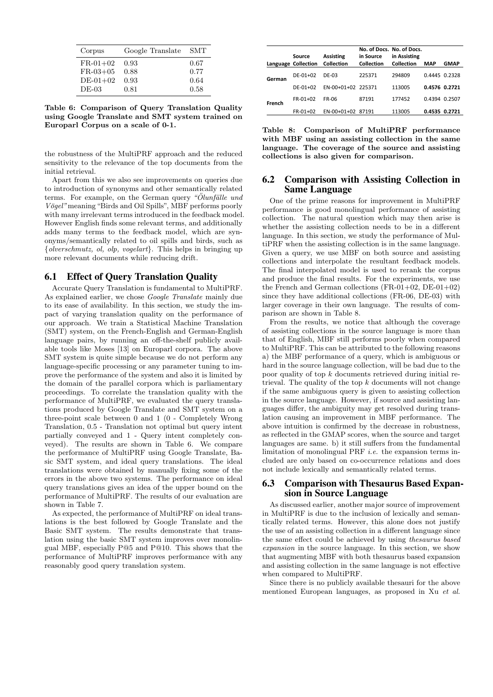| Corpus         | Google Translate | SMT  |
|----------------|------------------|------|
| $FR-01+02$     | 0.93             | 0.67 |
| $FR - 03 + 05$ | 0.88             | 0.77 |
| $DE-01+02$     | 0.93             | 0.64 |
| $DE-0.3$       | 0.81             | 0.58 |

Table 6: Comparison of Query Translation Quality using Google Translate and SMT system trained on Europarl Corpus on a scale of 0-1.

the robustness of the MultiPRF approach and the reduced sensitivity to the relevance of the top documents from the initial retrieval.

Apart from this we also see improvements on queries due to introduction of synonyms and other semantically related terms. For example, on the German query "Olunfälle und Vögel" meaning "Birds and Oil Spills", MBF performs poorly with many irrelevant terms introduced in the feedback model. However English finds some relevant terms, and additionally adds many terms to the feedback model, which are synonyms/semantically related to oil spills and birds, such as {olverschmutz, ol, olp, vogelart}. This helps in bringing up more relevant documents while reducing drift.

# 6.1 Effect of Query Translation Quality

Accurate Query Translation is fundamental to MultiPRF. As explained earlier, we chose *Google Translate* mainly due to its ease of availability. In this section, we study the impact of varying translation quality on the performance of our approach. We train a Statistical Machine Translation (SMT) system, on the French-English and German-English language pairs, by running an off-the-shelf publicly available tools like Moses [13] on Europarl corpora. The above SMT system is quite simple because we do not perform any language-specific processing or any parameter tuning to improve the performance of the system and also it is limited by the domain of the parallel corpora which is parliamentary proceedings. To correlate the translation quality with the performance of MultiPRF, we evaluated the query translations produced by Google Translate and SMT system on a three-point scale between 0 and 1 (0 - Completely Wrong Translation, 0.5 - Translation not optimal but query intent partially conveyed and 1 - Query intent completely conveyed). The results are shown in Table 6. We compare the performance of MultiPRF using Google Translate, Basic SMT system, and ideal query translations. The ideal translations were obtained by manually fixing some of the errors in the above two systems. The performance on ideal query translations gives an idea of the upper bound on the performance of MultiPRF. The results of our evaluation are shown in Table 7.

As expected, the performance of MultiPRF on ideal translations is the best followed by Google Translate and the Basic SMT system. The results demonstrate that translation using the basic SMT system improves over monolingual MBF, especially P@5 and P@10. This shows that the performance of MultiPRF improves performance with any reasonably good query translation system.

|        | Source              | Assisting          | in Source  | No. of Docs. No. of Docs.<br>in Assisting |               |               |
|--------|---------------------|--------------------|------------|-------------------------------------------|---------------|---------------|
|        | Language Collection | Collection         | Collection | Collection                                | <b>MAP</b>    | <b>GMAP</b>   |
| German | $DE-01+02$          | DE-03              | 225371     | 294809                                    |               | 0.4445 0.2328 |
|        | DF-01+02            | EN-00+01+02 225371 |            | 113005                                    |               | 0.4576 0.2721 |
| French | $FR - 01 + 02$      | <b>FR-06</b>       | 87191      | 177452                                    | 0.4394 0.2507 |               |
|        | $FR - 01 + 02$      | EN-00+01+02 87191  |            | 113005                                    | 0.4535        | 0.2721        |

Table 8: Comparison of MultiPRF performance with MBF using an assisting collection in the same language. The coverage of the source and assisting collections is also given for comparison.

# 6.2 Comparison with Assisting Collection in Same Language

One of the prime reasons for improvement in MultiPRF performance is good monolingual performance of assisting collection. The natural question which may then arise is whether the assisting collection needs to be in a different language. In this section, we study the performance of MultiPRF when the assisting collection is in the same language. Given a query, we use MBF on both source and assisting collections and interpolate the resultant feedback models. The final interpolated model is used to rerank the corpus and produce the final results. For the experiments, we use the French and German collections (FR-01+02, DE-01+02) since they have additional collections (FR-06, DE-03) with larger coverage in their own language. The results of comparison are shown in Table 8.

From the results, we notice that although the coverage of assisting collections in the source language is more than that of English, MBF still performs poorly when compared to MultiPRF. This can be attributed to the following reasons a) the MBF performance of a query, which is ambiguous or hard in the source language collection, will be bad due to the poor quality of top k documents retrieved during initial retrieval. The quality of the top  $k$  documents will not change if the same ambiguous query is given to assisting collection in the source language. However, if source and assisting languages differ, the ambiguity may get resolved during translation causing an improvement in MBF performance. The above intuition is confirmed by the decrease in robustness, as reflected in the GMAP scores, when the source and target languages are same. b) it still suffers from the fundamental limitation of monolingual PRF i.e. the expansion terms included are only based on co-occurrence relations and does not include lexically and semantically related terms.

## 6.3 Comparison with Thesaurus Based Expansion in Source Language

As discussed earlier, another major source of improvement in MultiPRF is due to the inclusion of lexically and semantically related terms. However, this alone does not justify the use of an assisting collection in a different language since the same effect could be achieved by using thesaurus based expansion in the source language. In this section, we show that augmenting MBF with both thesaurus based expansion and assisting collection in the same language is not effective when compared to MultiPRF.

Since there is no publicly available thesauri for the above mentioned European languages, as proposed in Xu et al.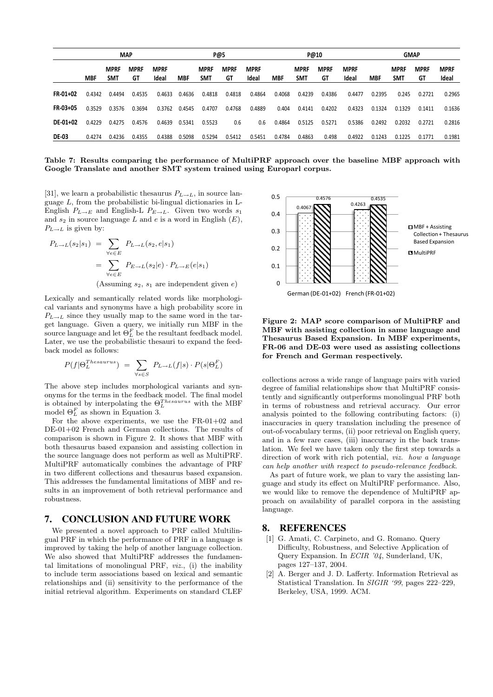|              | <b>MAP</b> |                           |                   |                      | P@5        |                           |                   | P@10                 |            |                    |                   | <b>GMAP</b>          |            |                           |                   |                      |
|--------------|------------|---------------------------|-------------------|----------------------|------------|---------------------------|-------------------|----------------------|------------|--------------------|-------------------|----------------------|------------|---------------------------|-------------------|----------------------|
|              | <b>MBF</b> | <b>MPRF</b><br><b>SMT</b> | <b>MPRF</b><br>GT | <b>MPRF</b><br>Ideal | <b>MBF</b> | <b>MPRF</b><br><b>SMT</b> | <b>MPRF</b><br>GT | <b>MPRF</b><br>Ideal | <b>MBF</b> | <b>MPRF</b><br>SMT | <b>MPRF</b><br>GT | <b>MPRF</b><br>Ideal | <b>MBF</b> | <b>MPRF</b><br><b>SMT</b> | <b>MPRF</b><br>GT | <b>MPRF</b><br>Ideal |
| FR-01+02     | 0.4342     | 0.4494                    | 0.4535            | 0.4633               | 0.4636     | 0.4818                    | 0.4818            | 0.4864               | 0.4068     | 0.4239             | 0.4386            | 0.4477               | 0.2395     | 0.245                     | 0.2721            | 0.2965               |
| FR-03+05     | 0.3529     | 0.3576                    | 0.3694            | 0.3762               | 0.4545     | 0.4707                    | 0.4768            | 0.4889               | 0.404      | 0.4141             | 0.4202            | 0.4323               | 0.1324     | 0.1329                    | 0.1411            | 0.1636               |
| DE-01+02     | 0.4229     | 0.4275                    | 0.4576            | 0.4639               | 0.5341     | 0.5523                    | 0.6               | 0.6                  | 0.4864     | 0.5125             | 0.5271            | 0.5386               | 0.2492     | 0.2032                    | 0.2721            | 0.2816               |
| <b>DE-03</b> | 0.4274     | 0.4236                    | 0.4355            | 0.4388               | 0.5098     | 0.5294                    | 0.5412            | 0.5451               | 0.4784     | 0.4863             | 0.498             | 0.4922               | 0.1243     | 0.1225                    | 0.1771            | 0.1981               |

Table 7: Results comparing the performance of MultiPRF approach over the baseline MBF approach with Google Translate and another SMT system trained using Europarl corpus.

[31], we learn a probabilistic thesaurus  $P_{L\rightarrow L}$ , in source language  $L$ , from the probabilistic bi-lingual dictionaries in  $L$ -English  $P_{L\to E}$  and English-L  $P_{E\to L}$ . Given two words  $s_1$ and  $s_2$  in source language L and e is a word in English  $(E)$ ,  $P_{L\rightarrow L}$  is given by:

$$
P_{L \to L}(s_2|s_1) = \sum_{\forall e \in E} P_{L \to L}(s_2, e|s_1)
$$
  
= 
$$
\sum_{\forall e \in E} P_{E \to L}(s_2|e) \cdot P_{L \to E}(e|s_1)
$$

(Assuming  $s_2$ ,  $s_1$  are independent given  $e$ )

Lexically and semantically related words like morphological variants and synonyms have a high probability score in  $P_{L\rightarrow L}$  since they usually map to the same word in the target language. Given a query, we initially run MBF in the source language and let  $\Theta_L^F$  be the resultant feedback model. Later, we use the probabilistic thesauri to expand the feedback model as follows:

$$
P(f|\Theta_L^{The saurus}) = \sum_{\forall s \in S} P_{L \to L}(f|s) \cdot P(s|\Theta_L^F)
$$

The above step includes morphological variants and synonyms for the terms in the feedback model. The final model is obtained by interpolating the  $\Theta_L^{The saurus}$  with the MBF model  $\Theta_L^F$  as shown in Equation 3.

For the above experiments, we use the FR-01+02 and DE-01+02 French and German collections. The results of comparison is shown in Figure 2. It shows that MBF with both thesaurus based expansion and assisting collection in the source language does not perform as well as MultiPRF. MultiPRF automatically combines the advantage of PRF in two different collections and thesaurus based expansion. This addresses the fundamental limitations of MBF and results in an improvement of both retrieval performance and robustness.

# 7. CONCLUSION AND FUTURE WORK

We presented a novel approach to PRF called Multilingual PRF in which the performance of PRF in a language is improved by taking the help of another language collection. We also showed that MultiPRF addresses the fundamental limitations of monolingual PRF,  $viz.$ , (i) the inability to include term associations based on lexical and semantic relationships and (ii) sensitivity to the performance of the initial retrieval algorithm. Experiments on standard CLEF



Figure 2: MAP score comparison of MultiPRF and MBF with assisting collection in same language and Thesaurus Based Expansion. In MBF experiments, FR-06 and DE-03 were used as assisting collections for French and German respectively.

collections across a wide range of language pairs with varied degree of familial relationships show that MultiPRF consistently and significantly outperforms monolingual PRF both in terms of robustness and retrieval accuracy. Our error analysis pointed to the following contributing factors: (i) inaccuracies in query translation including the presence of out-of-vocabulary terms, (ii) poor retrieval on English query, and in a few rare cases, (iii) inaccuracy in the back translation. We feel we have taken only the first step towards a direction of work with rich potential, viz. how a language can help another with respect to pseudo-relevance feedback.

As part of future work, we plan to vary the assisting language and study its effect on MultiPRF performance. Also, we would like to remove the dependence of MultiPRF approach on availability of parallel corpora in the assisting language.

# 8. REFERENCES

- [1] G. Amati, C. Carpineto, and G. Romano. Query Difficulty, Robustness, and Selective Application of Query Expansion. In ECIR '04, Sunderland, UK, pages 127–137, 2004.
- [2] A. Berger and J. D. Lafferty. Information Retrieval as Statistical Translation. In SIGIR '99, pages 222–229, Berkeley, USA, 1999. ACM.